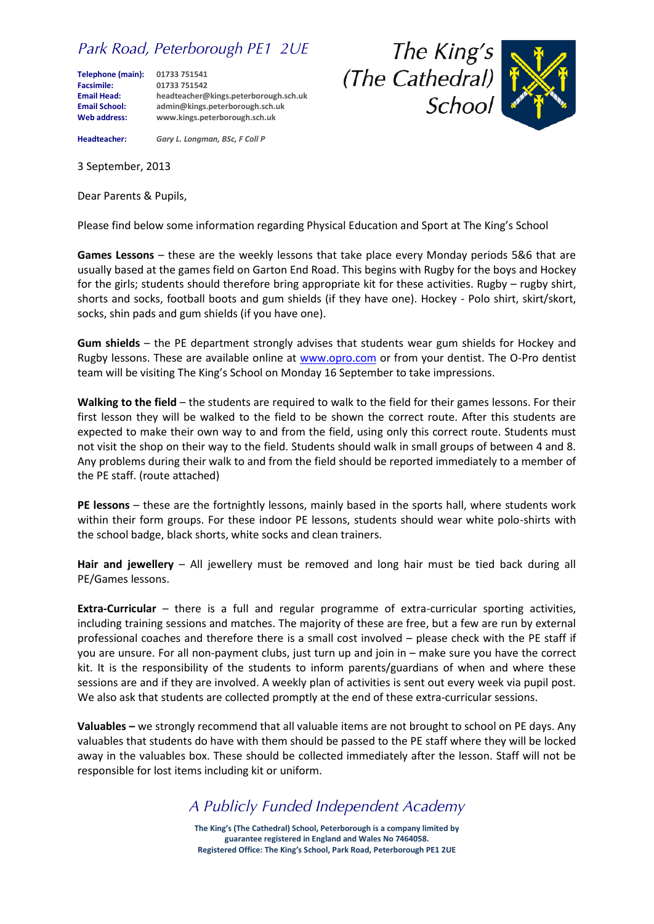## *Park Road, Peterborough PE1 2UE*

**Telephone (main): 01733 751541 Facsimile: 01733 751542 Email School: admin@kings.peterborough.sch.uk**

**Email Head: headteacher@kings.peterborough.sch.uk Web address: www.kings.peterborough.sch.uk**





**Headteacher:** *Gary L. Longman, BSc, F Coll P*

3 September, 2013

Dear Parents & Pupils,

Please find below some information regarding Physical Education and Sport at The King's School

**Games Lessons** – these are the weekly lessons that take place every Monday periods 5&6 that are usually based at the games field on Garton End Road. This begins with Rugby for the boys and Hockey for the girls; students should therefore bring appropriate kit for these activities. Rugby – rugby shirt, shorts and socks, football boots and gum shields (if they have one). Hockey - Polo shirt, skirt/skort, socks, shin pads and gum shields (if you have one).

**Gum shields** – the PE department strongly advises that students wear gum shields for Hockey and Rugby lessons. These are available online at [www.opro.com](http://www.opro.com/) or from your dentist. The O-Pro dentist team will be visiting The King's School on Monday 16 September to take impressions.

**Walking to the field** – the students are required to walk to the field for their games lessons. For their first lesson they will be walked to the field to be shown the correct route. After this students are expected to make their own way to and from the field, using only this correct route. Students must not visit the shop on their way to the field. Students should walk in small groups of between 4 and 8. Any problems during their walk to and from the field should be reported immediately to a member of the PE staff. (route attached)

**PE lessons** – these are the fortnightly lessons, mainly based in the sports hall, where students work within their form groups. For these indoor PE lessons, students should wear white polo-shirts with the school badge, black shorts, white socks and clean trainers.

**Hair and jewellery** – All jewellery must be removed and long hair must be tied back during all PE/Games lessons.

**Extra-Curricular** – there is a full and regular programme of extra-curricular sporting activities, including training sessions and matches. The majority of these are free, but a few are run by external professional coaches and therefore there is a small cost involved – please check with the PE staff if you are unsure. For all non-payment clubs, just turn up and join in – make sure you have the correct kit. It is the responsibility of the students to inform parents/guardians of when and where these sessions are and if they are involved. A weekly plan of activities is sent out every week via pupil post. We also ask that students are collected promptly at the end of these extra-curricular sessions.

**Valuables –** we strongly recommend that all valuable items are not brought to school on PE days. Any valuables that students do have with them should be passed to the PE staff where they will be locked away in the valuables box. These should be collected immediately after the lesson. Staff will not be responsible for lost items including kit or uniform.

*A Publicly Funded Independent Academy*

**The King's (The Cathedral) School, Peterborough is a company limited by guarantee registered in England and Wales No 7464058. Registered Office: The King's School, Park Road, Peterborough PE1 2UE**